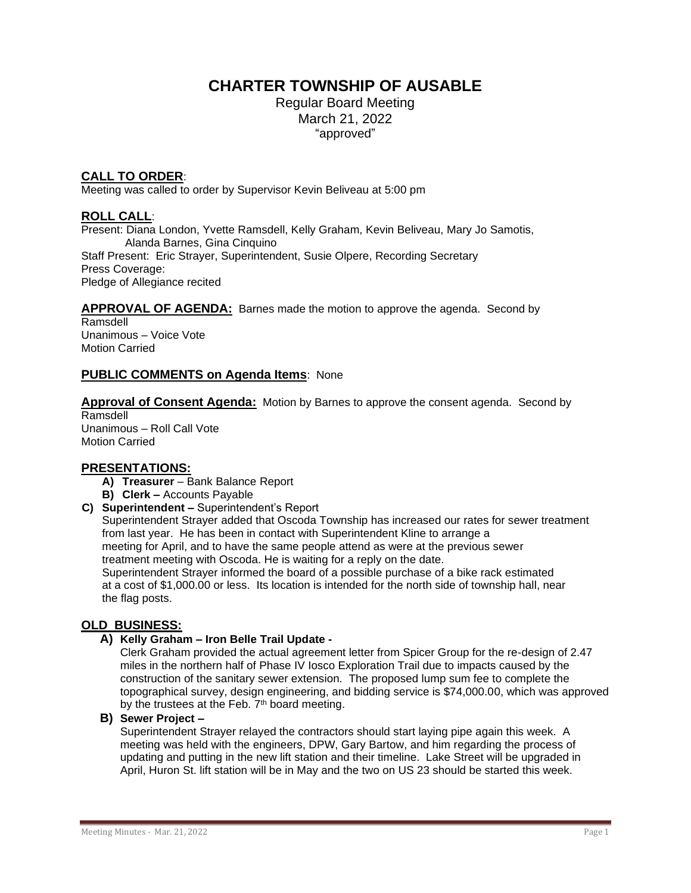# **CHARTER TOWNSHIP OF AUSABLE**

Regular Board Meeting March 21, 2022 "approved"

## **CALL TO ORDER**:

Meeting was called to order by Supervisor Kevin Beliveau at 5:00 pm

## **ROLL CALL**:

Present: Diana London, Yvette Ramsdell, Kelly Graham, Kevin Beliveau, Mary Jo Samotis, Alanda Barnes, Gina Cinquino Staff Present: Eric Strayer, Superintendent, Susie Olpere, Recording Secretary Press Coverage: Pledge of Allegiance recited

**APPROVAL OF AGENDA:** Barnes made the motion to approve the agenda. Second by

Ramsdell Unanimous – Voice Vote Motion Carried

## **PUBLIC COMMENTS on Agenda Items**: None

**Approval of Consent Agenda:** Motion by Barnes to approve the consent agenda. Second by Ramsdell

Unanimous – Roll Call Vote Motion Carried

## **PRESENTATIONS:**

- **A) Treasurer**  Bank Balance Report
- **B) Clerk –** Accounts Payable
- **C) Superintendent –** Superintendent's Report

Superintendent Strayer added that Oscoda Township has increased our rates for sewer treatment from last year. He has been in contact with Superintendent Kline to arrange a meeting for April, and to have the same people attend as were at the previous sewer treatment meeting with Oscoda. He is waiting for a reply on the date. Superintendent Strayer informed the board of a possible purchase of a bike rack estimated at a cost of \$1,000.00 or less. Its location is intended for the north side of township hall, near the flag posts.

#### **OLD BUSINESS:**

**A) Kelly Graham – Iron Belle Trail Update -**

Clerk Graham provided the actual agreement letter from Spicer Group for the re-design of 2.47 miles in the northern half of Phase IV Iosco Exploration Trail due to impacts caused by the construction of the sanitary sewer extension. The proposed lump sum fee to complete the topographical survey, design engineering, and bidding service is \$74,000.00, which was approved by the trustees at the Feb.  $7<sup>th</sup>$  board meeting.

**B) Sewer Project –**

Superintendent Strayer relayed the contractors should start laying pipe again this week. A meeting was held with the engineers, DPW, Gary Bartow, and him regarding the process of updating and putting in the new lift station and their timeline. Lake Street will be upgraded in April, Huron St. lift station will be in May and the two on US 23 should be started this week.